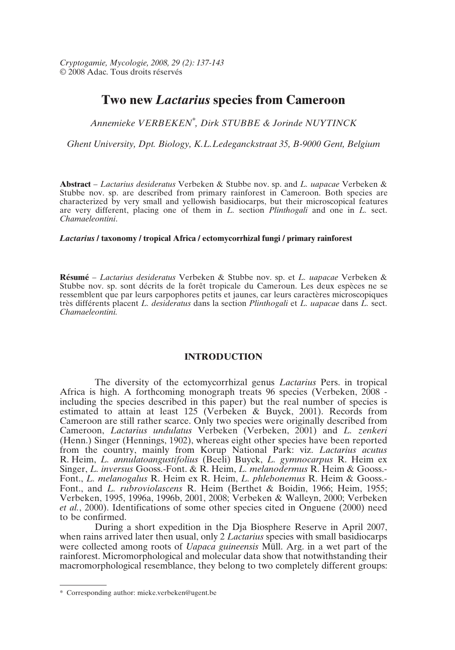# **Two new** *Lactarius* **species from Cameroon**

*Annemieke VERBEKEN\* , Dirk STUBBE & Jorinde NUYTINCK*

*Ghent University, Dpt. Biology, K.L.Ledeganckstraat 35, B-9000 Gent, Belgium*

**Abstract** – *Lactarius desideratus* Verbeken & Stubbe nov. sp. and *L. uapacae* Verbeken & Stubbe nov. sp. are described from primary rainforest in Cameroon. Both species are characterized by very small and yellowish basidiocarps, but their microscopical features are very different, placing one of them in *L.* section *Plinthogali* and one in *L.* sect. *Chamaeleontini*.

## *Lactarius* **/ taxonomy / tropical Africa / ectomycorrhizal fungi / primary rainforest**

**Résumé** – *Lactarius desideratus* Verbeken & Stubbe nov. sp. et *L. uapacae* Verbeken & Stubbe nov. sp. sont décrits de la forêt tropicale du Cameroun. Les deux espèces ne se ressemblent que par leurs carpophores petits et jaunes, car leurs caractères microscopiques très différents placent *L. desideratus* dans la section *Plinthogali* et *L. uapacae* dans *L.* sect. *Chamaeleontini.*

# **INTRODUCTION**

The diversity of the ectomycorrhizal genus *Lactarius* Pers. in tropical Africa is high. A forthcoming monograph treats 96 species (Verbeken, 2008 including the species described in this paper) but the real number of species is estimated to attain at least 125 (Verbeken & Buyck, 2001). Records from Cameroon are still rather scarce. Only two species were originally described from Cameroon, *Lactarius undulatus* Verbeken (Verbeken, 2001) and *L. zenkeri* (Henn.) Singer (Hennings, 1902), whereas eight other species have been reported from the country, mainly from Korup National Park: viz. *Lactarius acutus* R. Heim, *L. annulatoangustifolius* (Beeli) Buyck, *L. gymnocarpus* R. Heim ex Singer, *L. inversus* Gooss.-Font. & R. Heim, *L. melanodermus* R. Heim & Gooss.- Font., *L. melanogalus* R. Heim ex R. Heim, *L. phlebonemus* R. Heim & Gooss.- Font., and *L. rubroviolascens* R. Heim (Berthet & Boidin, 1966; Heim, 1955; Verbeken, 1995, 1996a, 1996b, 2001, 2008; Verbeken & Walleyn, 2000; Verbeken *et al.*, 2000). Identifications of some other species cited in Onguene (2000) need to be confirmed.

During a short expedition in the Dja Biosphere Reserve in April 2007, when rains arrived later then usual, only 2 *Lactarius* species with small basidiocarps were collected among roots of *Uapaca guineensis* Müll. Arg. in a wet part of the rainforest. Micromorphological and molecular data show that notwithstanding their macromorphological resemblance, they belong to two completely different groups:

<sup>\*</sup> Corresponding author: mieke.verbeken@ugent.be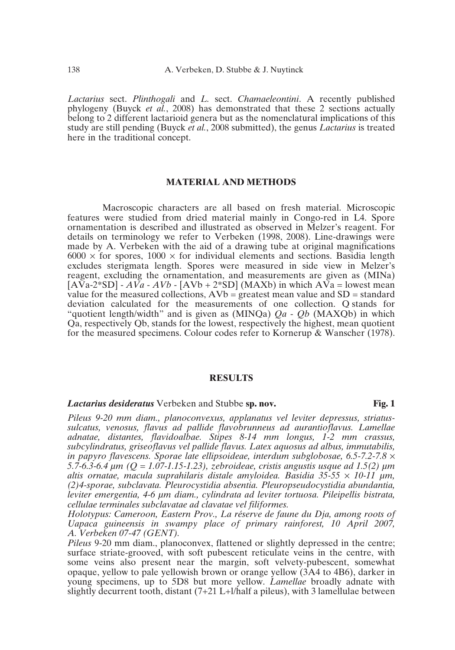*Lactarius* sect. *Plinthogali* and *L.* sect. *Chamaeleontini*. A recently published phylogeny (Buyck *et al.*, 2008) has demonstrated that these 2 sections actually belong to 2 different lactarioid genera but as the nomenclatural implications of this study are still pending (Buyck *et al.*, 2008 submitted), the genus *Lactarius* is treated here in the traditional concept.

## **MATERIAL AND METHODS**

Macroscopic characters are all based on fresh material. Microscopic features were studied from dried material mainly in Congo-red in L4. Spore ornamentation is described and illustrated as observed in Melzer's reagent. For details on terminology we refer to Verbeken (1998, 2008). Line-drawings were made by A. Verbeken with the aid of a drawing tube at original magnifications  $6000 \times$  for spores,  $1000 \times$  for individual elements and sections. Basidia length excludes sterigmata length. Spores were measured in side view in Melzer's reagent, excluding the ornamentation, and measurements are given as (MINa)  $[A\bar{V}a-2*SD] - A\bar{V}a - A\bar{V}b - [AVb + 2*SD] (MAXb)$  in which  $A\bar{V}a$  = lowest mean value for the measured collections,  $AVb = \frac{1}{1}$  greatest mean value and  $SD =$  standard deviation calculated for the measurements of one collection. Q stands for "quotient length/width" and is given as (MINQa) *Qa* - *Qb* (MAXQb) in which Qa, respectively Qb, stands for the lowest, respectively the highest, mean quotient for the measured specimens. Colour codes refer to Kornerup & Wanscher (1978).

# **RESULTS**

#### *Lactarius desideratus* Verbeken and Stubbe **sp. nov. Fig. 1**

*Pileus 9-20 mm diam., planoconvexus, applanatus vel leviter depressus, striatussulcatus, venosus, flavus ad pallide flavobrunneus ad aurantioflavus. Lamellae adnatae, distantes, flavidoalbae. Stipes 8-14 mm longus, 1-2 mm crassus, subcylindratus, griseoflavus vel pallide flavus. Latex aquosus ad albus, immutabilis, in papyro flavescens. Sporae late ellipsoideae, interdum subglobosae, 6.5-7.2-7.8* × *5.7-6.3-6.4 µm (Q = 1.07-1.15-1.23), zebroideae, cristis angustis usque ad 1.5(2) µm altis ornatae, macula suprahilaris distale amyloidea. Basidia 35-55* × *10-11 µm, (2)4-sporae, subclavata. Pleurocystidia absentia. Pleuropseudocystidia abundantia, leviter emergentia, 4-6 µm diam., cylindrata ad leviter tortuosa. Pileipellis bistrata, cellulae terminales subclavatae ad clavatae vel filiformes.*

*Holotypus: Cameroon, Eastern Prov., La réserve de faune du Dja, among roots of Uapaca guineensis in swampy place of primary rainforest, 10 April 2007, A. Verbeken 07-47 (GENT).*

*Pileus* 9-20 mm diam., planoconvex, flattened or slightly depressed in the centre; surface striate-grooved, with soft pubescent reticulate veins in the centre, with some veins also present near the margin, soft velvety-pubescent, somewhat opaque, yellow to pale yellowish brown or orange yellow (3A4 to 4B6), darker in young specimens, up to 5D8 but more yellow. *Lamellae* broadly adnate with slightly decurrent tooth, distant (7+21 L+l/half a pileus), with 3 lamellulae between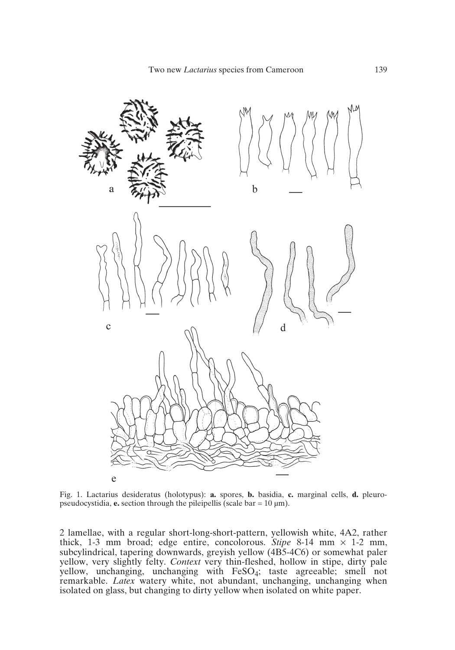

Fig. 1. Lactarius desideratus (holotypus): **a.** spores, **b.** basidia, **c.** marginal cells, **d.** pleuropseudocystidia, **e.** section through the pileipellis (scale  $bar = 10 \mu m$ ).

2 lamellae, with a regular short-long-short-pattern, yellowish white, 4A2, rather thick, 1-3 mm broad; edge entire, concolorous. *Stipe* 8-14 mm × 1-2 mm, subcylindrical, tapering downwards, greyish yellow (4B5-4C6) or somewhat paler yellow, very slightly felty. *Context* very thin-fleshed, hollow in stipe, dirty pale yellow, unchanging, unchanging with FeSO<sub>4</sub>; taste agreeable; smell not remarkable. *Latex* watery white, not abundant, unchanging, unchanging when isolated on glass, but changing to dirty yellow when isolated on white paper.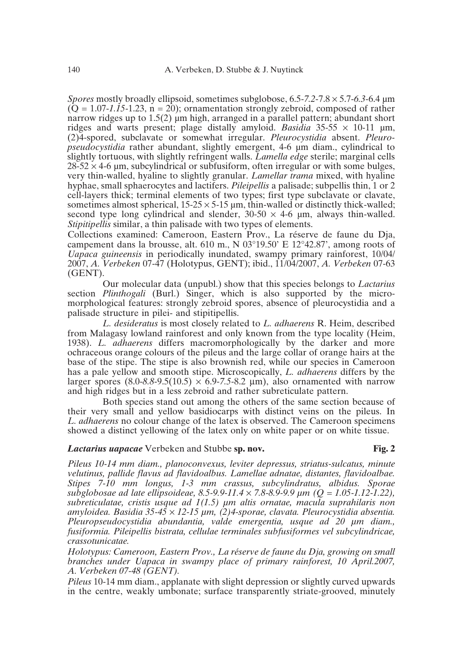*Spores* mostly broadly ellipsoid, sometimes subglobose, 6.5-*7.2*-7.8 × 5.7-*6.3*-6.4 µm  $(\tilde{Q} = 1.07 - 1.15 - 1.23, n = 20)$ ; ornamentation strongly zebroid, composed of rather narrow ridges up to  $1.5(2)$  µm high, arranged in a parallel pattern; abundant short ridges and warts present; plage distally amyloid. *Basidia*  $35-55 \times 10-11$  um, (2)4-spored, subclavate or somewhat irregular. *Pleurocystidia* absent. *Pleuropseudocystidia* rather abundant, slightly emergent, 4-6 um diam., cylindrical to slightly tortuous, with slightly refringent walls. *Lamella edge* sterile; marginal cells  $28-52 \times 4-6$  um, subcylindrical or subfusiform, often irregular or with some bulges, very thin-walled, hyaline to slightly granular. *Lamellar trama* mixed, with hyaline hyphae, small sphaerocytes and lactifers. *Pileipellis* a palisade; subpellis thin, 1 or 2 cell-layers thick; terminal elements of two types; first type subclavate or clavate, sometimes almost spherical,  $15-25 \times 5-15$  µm, thin-walled or distinctly thick-walled; second type long cylindrical and slender,  $30-50 \times 4-6$  um, always thin-walled. *Stipitipellis* similar, a thin palisade with two types of elements.

Collections examined: Cameroon, Eastern Prov., La réserve de faune du Dja, campement dans la brousse, alt. 610 m., N  $03^{\circ}19.50^{\circ}$  E  $12^{\circ}42.87^{\circ}$ , among roots of *Uapaca guineensis* in periodically inundated, swampy primary rainforest, 10/04/ 2007, *A. Verbeken* 07-47 (Holotypus, GENT); ibid., 11/04/2007, *A. Verbeken* 07-63 (GENT).

Our molecular data (unpubl.) show that this species belongs to *Lactarius* section *Plinthogali* (Burl.) Singer, which is also supported by the micromorphological features: strongly zebroid spores, absence of pleurocystidia and a palisade structure in pilei- and stipitipellis.

*L. desideratus* is most closely related to *L. adhaerens* R. Heim, described from Malagasy lowland rainforest and only known from the type locality (Heim, 1938). *L. adhaerens* differs macromorphologically by the darker and more ochraceous orange colours of the pileus and the large collar of orange hairs at the base of the stipe. The stipe is also brownish red, while our species in Cameroon has a pale yellow and smooth stipe. Microscopically, *L. adhaerens* differs by the larger spores  $(8.0-8.8-9.5(10.5) \times 6.9-7.5-8.2 \mu m)$ , also ornamented with narrow and high ridges but in a less zebroid and rather subreticulate pattern.

Both species stand out among the others of the same section because of their very small and yellow basidiocarps with distinct veins on the pileus. In *L. adhaerens* no colour change of the latex is observed. The Cameroon specimens showed a distinct yellowing of the latex only on white paper or on white tissue.

# *Lactarius uapacae* Verbeken and Stubbe **sp. nov. Fig. 2**

*Pileus 10-14 mm diam., planoconvexus, leviter depressus, striatus-sulcatus, minute velutinus, pallide flavus ad flavidoalbus. Lamellae adnatae, distantes, flavidoalbae. Stipes 7-10 mm longus, 1-3 mm crassus, subcylindratus, albidus. Sporae subglobosae ad late ellipsoideae, 8.5-9.9-11.4* × *7.8-8.9-9.9 µm (Q = 1.05-1.12-1.22), subreticulatae, cristis usque ad 1(1.5) µm altis ornatae, macula suprahilaris non amyloidea. Basidia 35-45* × *12-15 µm, (2)4-sporae, clavata. Pleurocystidia absentia. Pleuropseudocystidia abundantia, valde emergentia, usque ad 20 µm diam., fusiformia. Pileipellis bistrata, cellulae terminales subfusiformes vel subcylindricae, crassotunicatae.*

*Holotypus: Cameroon, Eastern Prov., La réserve de faune du Dja, growing on small branches under Uapaca in swampy place of primary rainforest, 10 April.2007, A. Verbeken 07-48 (GENT).*

*Pileus* 10-14 mm diam., applanate with slight depression or slightly curved upwards in the centre, weakly umbonate; surface transparently striate-grooved, minutely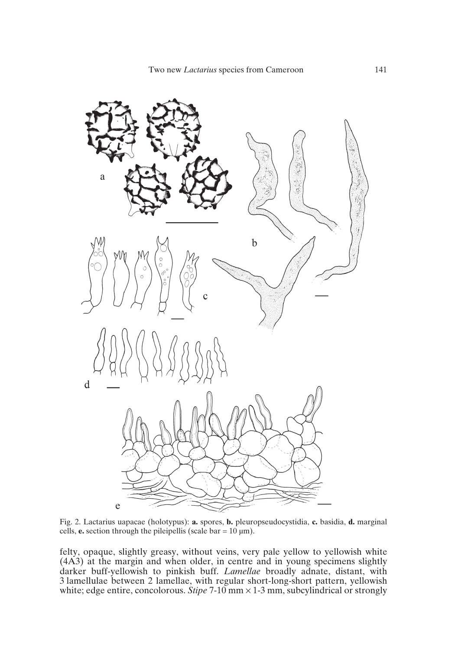

Fig. 2. Lactarius uapacae (holotypus): **a.** spores, **b.** pleuropseudocystidia, **c.** basidia, **d.** marginal cells, **e.** section through the pileipellis (scale  $bar = 10 \mu m$ ).

felty, opaque, slightly greasy, without veins, very pale yellow to yellowish white (4A3) at the margin and when older, in centre and in young specimens slightly darker buff-yellowish to pinkish buff. *Lamellae* broadly adnate, distant, with 3 lamellulae between 2 lamellae, with regular short-long-short pattern, yellowish white; edge entire, concolorous. *Stipe* 7-10 mm × 1-3 mm, subcylindrical or strongly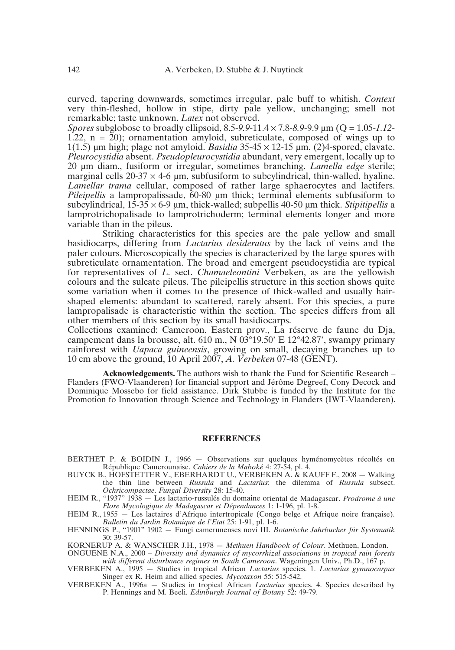curved, tapering downwards, sometimes irregular, pale buff to whitish. *Context* very thin-fleshed, hollow in stipe, dirty pale yellow, unchanging; smell not remarkable; taste unknown. *Latex* not observed.

*Spores* subglobose to broadly ellipsoid, 8.5-*9.9*-11.4 × 7.8-*8.9*-9.9 µm (Q = 1.05-*1.12*- 1.22,  $n = 20$ ; ornamentation amyloid, subreticulate, composed of wings up to 1(1.5) um high; plage not amyloid. *Basidia*  $35-45 \times 12-15$  um, (2)4-spored, clavate. *Pleurocystidia* absent. *Pseudopleurocystidia* abundant, very emergent, locally up to 20 µm diam., fusiform or irregular, sometimes branching. *Lamella edge* sterile; marginal cells  $20-37 \times 4-6$  µm, subfusiform to subcylindrical, thin-walled, hyaline. *Lamellar trama* cellular, composed of rather large sphaerocytes and lactifers. *Pileipellis* a lampropalissade, 60-80  $\mu$ m thick; terminal elements subfusiform to subcylindrical,  $15-35 \times 6-9$  µm, thick-walled; subpellis 40-50 µm thick. *Stipitipellis* a lamprotrichopalisade to lamprotrichoderm; terminal elements longer and more variable than in the pileus.

Striking characteristics for this species are the pale yellow and small basidiocarps, differing from *Lactarius desideratus* by the lack of veins and the paler colours. Microscopically the species is characterized by the large spores with subreticulate ornamentation. The broad and emergent pseudocystidia are typical for representatives of *L.* sect. *Chamaeleontini* Verbeken, as are the yellowish colours and the sulcate pileus. The pileipellis structure in this section shows quite some variation when it comes to the presence of thick-walled and usually hairshaped elements: abundant to scattered, rarely absent. For this species, a pure lampropalisade is characteristic within the section. The species differs from all other members of this section by its small basidiocarps.

Collections examined: Cameroon, Eastern prov., La réserve de faune du Dja, campement dans la brousse, alt. 610 m., N  $03^{\circ}19.50'$  E 12°42.87', swampy primary rainforest with *Uapaca guineensis*, growing on small, decaying branches up to 10 cm above the ground, 10 April 2007, *A. Verbeken* 07-48 (GENT).

**Acknowledgements.** The authors wish to thank the Fund for Scientific Research – Flanders (FWO-Vlaanderen) for financial support and Jérôme Degreef, Cony Decock and Dominique Mossebo for field assistance. Dirk Stubbe is funded by the Institute for the Promotion fo Innovation through Science and Technology in Flanders (IWT-Vlaanderen).

#### **REFERENCES**

- BERTHET P. & BOIDIN J., 1966 Observations sur quelques hyménomycètes récoltés en République Camerounaise. *Cahiers de la Maboké* 4: 27-54, pl. 4.
- BUYCK B., HOFSTETTER V., EBERHARDT U., VERBEKEN A. & KAUFF F., 2008 Walking the thin line between *Russula* and *Lactarius*: the dilemma of *Russula* subsect. *Ochricompactae*. *Fungal Diversity* 28: 15-40.
- HEIM R., "1937" 1938 Les lactario-russulés du domaine oriental de Madagascar. *Prodrome à une Flore Mycologique de Madagascar et Dépendances* 1: 1-196, pl. 1-8.
- HEIM R., 1955 Les lactaires d'Afrique intertropicale (Congo belge et Afrique noire française). *Bulletin du Jardin Botanique de l'Etat* 25: 1-91, pl. 1-6.
- HENNINGS P., "1901" 1902 Fungi camerunenses novi III. *Botanische Jahrbucher für Systematik* 30: 39-57.

KORNERUP A. & WANSCHER J.H., 1978 — *Methuen Handbook of Colour*. Methuen, London.

ONGUENE N.A., 2000 – *Diversity and dynamics of mycorrhizal associations in tropical rain forests with different disturbance regimes in South Cameroon*. Wageningen Univ., Ph.D., 167 p.

VERBEKEN A., 1995 — Studies in tropical African *Lactarius* species. 1. *Lactarius gymnocarpus* Singer ex R. Heim and allied species. *Mycotaxon* 55: 515-542.

VERBEKEN A., 1996a — Studies in tropical African *Lactarius* species. 4. Species described by P. Hennings and M. Beeli. *Edinburgh Journal of Botany* 52: 49-79.